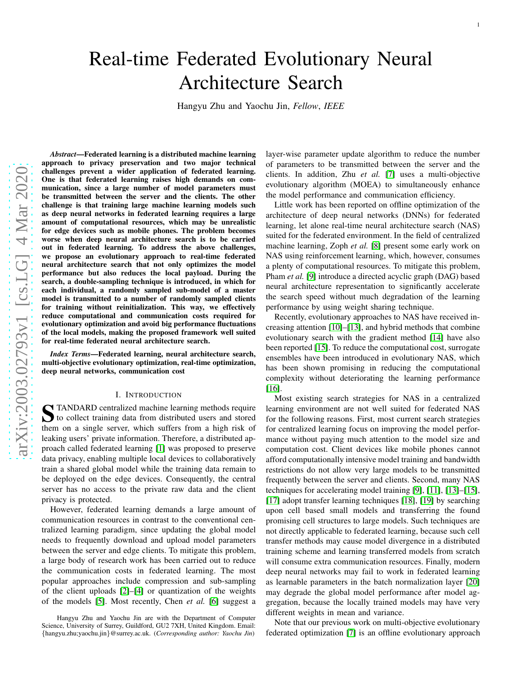# Real-time Federated Evolutionary Neural Architecture Search

Hangyu Zhu and Yaochu Jin, *Fellow* , *IEEE*

*Abstract*—Federated learning is a distributed machine learning approach to privacy preservation and two major technical challenges prevent a wider application of federated learning. One is that federated learning raises high demands on communication, since a large number of model parameters must be transmitted between the server and the clients. The other challenge is that training large machine learning models such as deep neural networks in federated learning requires a large amount of computational resources, which may be unrealisti c for edge devices such as mobile phones. The problem becomes worse when deep neural architecture search is to be carried out in federated learning. To address the above challenges, we propose an evolutionary approach to real-time federated neural architecture search that not only optimizes the mode l performance but also reduces the local payload. During the search, a double-sampling technique is introduced, in which for each individual, a randomly sampled sub-model of a master model is transmitted to a number of randomly sampled clients for training without reinitialization. This way, we effectively reduce computational and communication costs required for evolutionary optimization and avoid big performance fluctuations of the local models, making the proposed framework well suited for real-time federated neural architecture search.

*Index Terms*—Federated learning, neural architecture search, multi-objective evolutionary optimization, real-time optimization, deep neural networks, communication cost

#### I. INTRODUCTION

STANDARD centralized machine learning methods require<br>to collect training data from distributed users and stored to collect training data from distributed users and stored them on a single server, which suffers from a high risk of leaking users' private information. Therefore, a distributed approach called federated learning [\[1\]](#page-10-0) was proposed to preserve data privacy, enabling multiple local devices to collaboratively train a shared global model while the training data remain to be deployed on the edge devices. Consequently, the central server has no access to the private raw data and the client privacy is protected.

However, federated learning demands a large amount of communication resources in contrast to the conventional centralized learning paradigm, since updating the global model needs to frequently download and upload model parameters between the server and edge clients. To mitigate this problem, a large body of research work has been carried out to reduce the communication costs in federated learning. The most popular approaches include compression and sub-sampling of the client uploads [\[2\]](#page-10-1)–[\[4\]](#page-10-2) or quantization of the weights of the models [\[5\]](#page-10-3). Most recently, Chen *et al.* [\[6\]](#page-10-4) suggest a

Hangyu Zhu and Yaochu Jin are with the Department of Computer Science, University of Surrey, Guildford, GU2 7XH, United Kingdom. Email: {hangyu.zhu;yaochu.jin}@surrey.ac.uk. (*Corresponding author: Yaochu Jin*)

layer-wise parameter update algorithm to reduce the number of parameters to be transmitted between the server and the clients. In addition, Zhu *et al.* [\[7\]](#page-10-5) uses a multi-objective evolutionary algorithm (MOEA) to simultaneously enhance the model performance and communication efficiency.

Little work has been reported on offline optimization of the architecture of deep neural networks (DNNs) for federated learning, let alone real-time neural architecture search (NAS) suited for the federated environment. In the field of centralized machine learning, Zoph *et al.* [\[8\]](#page-10-6) present some early work on NAS using reinforcement learning, which, however, consume s a plenty of computational resources. To mitigate this problem, Pham *et al.* [\[9\]](#page-10-7) introduce a directed acyclic graph (DAG) based neural architecture representation to significantly accelerate the search speed without much degradation of the learning performance by using weight sharing technique.

Recently, evolutionary approaches to NAS have received increasing attention [\[10\]](#page-10-8)–[\[13\]](#page-10-9), and hybrid methods that combine evolutionary search with the gradient method [\[14\]](#page-10-10) have also been reported [\[15\]](#page-10-11). To reduce the computational cost, surrogate ensembles have been introduced in evolutionary NAS, which has been shown promising in reducing the computational complexity without deteriorating the learning performanc e [\[16\]](#page-10-12).

Most existing search strategies for NAS in a centralized learning environment are not well suited for federated NAS for the following reasons. First, most current search strategies for centralized learning focus on improving the model performance without paying much attention to the model size and computation cost. Client devices like mobile phones cannot afford computationally intensive model training and bandwidth restrictions do not allow very large models to be transmitte d frequently between the server and clients. Second, many NAS techniques for accelerating model training [\[9\]](#page-10-7), [\[11\]](#page-10-13), [\[13\]](#page-10-9)–[\[15\]](#page-10-11), [\[17\]](#page-10-14) adopt transfer learning techniques [\[18\]](#page-10-15), [\[19\]](#page-10-16) by searching upon cell based small models and transferring the found promising cell structures to large models. Such techniques are not directly applicable to federated learning, because such cell transfer methods may cause model divergence in a distribute d training scheme and learning transferred models from scratch will consume extra communication resources. Finally, modern deep neural networks may fail to work in federated learning as learnable parameters in the batch normalization layer [\[20\]](#page-10-17) may degrade the global model performance after model aggregation, because the locally trained models may have very different weights in mean and variance.

Note that our previous work on multi-objective evolutionar y federated optimization [\[7\]](#page-10-5) is an offline evolutionary approach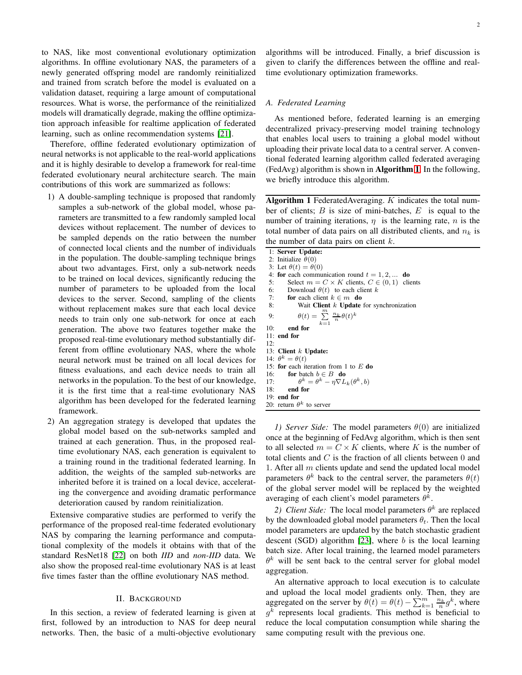to NAS, like most conventional evolutionary optimization algorithms. In offline evolutionary NAS, the parameters of a newly generated offspring model are randomly reinitialized and trained from scratch before the model is evaluated on a validation dataset, requiring a large amount of computational resources. What is worse, the performance of the reinitialized models will dramatically degrade, making the offline optimization approach infeasible for realtime application of federated learning, such as online recommendation systems [\[21\]](#page-10-18).

Therefore, offline federated evolutionary optimization of neural networks is not applicable to the real-world applications and it is highly desirable to develop a framework for real-time federated evolutionary neural architecture search. The main contributions of this work are summarized as follows:

- 1) A double-sampling technique is proposed that randomly samples a sub-network of the global model, whose parameters are transmitted to a few randomly sampled local devices without replacement. The number of devices to be sampled depends on the ratio between the number of connected local clients and the number of individuals in the population. The double-sampling technique brings about two advantages. First, only a sub-network needs to be trained on local devices, significantly reducing the number of parameters to be uploaded from the local devices to the server. Second, sampling of the clients without replacement makes sure that each local device needs to train only one sub-network for once at each generation. The above two features together make the proposed real-time evolutionary method substantially different from offline evolutionary NAS, where the whole neural network must be trained on all local devices for fitness evaluations, and each device needs to train all networks in the population. To the best of our knowledge, it is the first time that a real-time evolutionary NAS algorithm has been developed for the federated learning framework.
- 2) An aggregation strategy is developed that updates the global model based on the sub-networks sampled and trained at each generation. Thus, in the proposed realtime evolutionary NAS, each generation is equivalent to a training round in the traditional federated learning. In addition, the weights of the sampled sub-networks are inherited before it is trained on a local device, accelerating the convergence and avoiding dramatic performance deterioration caused by random reinitialization.

Extensive comparative studies are performed to verify the performance of the proposed real-time federated evolutionary NAS by comparing the learning performance and computational complexity of the models it obtains with that of the standard ResNet18 [\[22\]](#page-10-19) on both *IID* and *non-IID* data. We also show the proposed real-time evolutionary NAS is at least five times faster than the offline evolutionary NAS method.

## II. BACKGROUND

In this section, a review of federated learning is given at first, followed by an introduction to NAS for deep neural networks. Then, the basic of a multi-objective evolutionary algorithms will be introduced. Finally, a brief discussion is given to clarify the differences between the offline and realtime evolutionary optimization frameworks.

## *A. Federated Learning*

As mentioned before, federated learning is an emerging decentralized privacy-preserving model training technology that enables local users to training a global model without uploading their private local data to a central server. A conventional federated learning algorithm called federated averaging (FedAvg) algorithm is shown in Algorithm [1](#page-1-0). In the following, we briefly introduce this algorithm.

<span id="page-1-0"></span>Algorithm 1 FederatedAveraging.  $K$  indicates the total number of clients;  $B$  is size of mini-batches,  $E$  is equal to the number of training iterations,  $\eta$  is the learning rate,  $n$  is the total number of data pairs on all distributed clients, and  $n_k$  is the number of data pairs on client  $k$ .

|     | 1: Server Update:                                                    |
|-----|----------------------------------------------------------------------|
|     | 2: Initialize $\theta(0)$                                            |
|     | 3: Let $\theta(t) = \theta(0)$                                       |
|     | 4: for each communication round $t = 1, 2, $ do                      |
|     | Select $m = C \times K$ clients, $C \in (0, 1)$ clients<br>5:        |
|     | 6: Download $\theta(t)$ to each client k                             |
|     | 7: <b>for</b> each client $k \in m$ <b>do</b>                        |
|     | 8:<br>Wait Client $k$ Update for synchronization                     |
| 9:  | $\theta(t) = \sum_{n=1}^{\infty} \frac{n_k}{n} \theta(t)^k$<br>$k=1$ |
| 10: | end for                                                              |
|     | $11:$ end for                                                        |
| 12: |                                                                      |
|     | 13: Client $k$ Update:                                               |
|     | 14: $\theta^k = \theta(t)$                                           |
|     | 15: for each iteration from 1 to $E$ do                              |
|     | 16: for batch $b \in B$ do                                           |
|     | $\theta^k = \theta^k - \eta \nabla L_k(\theta^k, b)$<br>17:          |
|     | 18: end for                                                          |
|     | $19:$ end for                                                        |
|     | 20: return $\theta^k$ to server                                      |

*1)* Server Side: The model parameters  $\theta(0)$  are initialized once at the beginning of FedAvg algorithm, which is then sent to all selected  $m = C \times K$  clients, where K is the number of total clients and  $C$  is the fraction of all clients between  $0$  and 1. After all  $m$  clients update and send the updated local model parameters  $\theta^k$  back to the central server, the parameters  $\theta(t)$ of the global server model will be replaced by the weighted averaging of each client's model parameters  $\theta^{\vec{k}}$ .

2) Client Side: The local model parameters  $\theta^k$  are replaced by the downloaded global model parameters  $\theta_t$ . Then the local model parameters are updated by the batch stochastic gradient descent (SGD) algorithm  $[23]$ , where b is the local learning batch size. After local training, the learned model parameters  $\theta^k$  will be sent back to the central server for global model aggregation.

An alternative approach to local execution is to calculate and upload the local model gradients only. Then, they are aggregated on the server by  $\theta(t) = \theta(t) - \sum_{k=1}^{m} \frac{n_k}{n} g^k$ , where  $g^k$  represents local gradients. This method is beneficial to reduce the local computation consumption while sharing the same computing result with the previous one.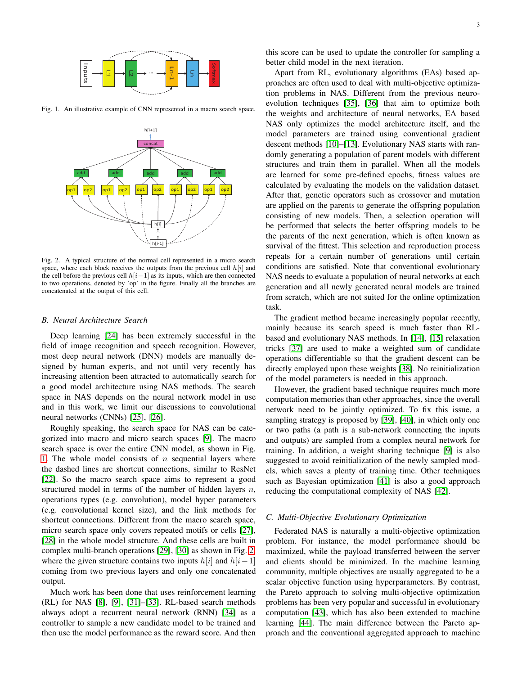

Fig. 1. An illustrative example of CNN represented in a macro search space.

<span id="page-2-0"></span>

<span id="page-2-1"></span>Fig. 2. A typical structure of the normal cell represented in a micro search space, where each block receives the outputs from the previous cell  $h[i]$  and the cell before the previous cell  $h[i-1]$  as its inputs, which are then connected to two operations, denoted by 'op' in the figure. Finally all the branches are concatenated at the output of this cell.

## *B. Neural Architecture Search*

Deep learning [\[24\]](#page-11-1) has been extremely successful in the field of image recognition and speech recognition. However, most deep neural network (DNN) models are manually designed by human experts, and not until very recently has increasing attention been attracted to automatically search for a good model architecture using NAS methods. The search space in NAS depends on the neural network model in use and in this work, we limit our discussions to convolutional neural networks (CNNs) [\[25\]](#page-11-2), [\[26\]](#page-11-3).

Roughly speaking, the search space for NAS can be categorized into macro and micro search spaces [\[9\]](#page-10-7). The macro search space is over the entire CNN model, as shown in Fig. [1.](#page-2-0) The whole model consists of  $n$  sequential layers where the dashed lines are shortcut connections, similar to ResNet [\[22\]](#page-10-19). So the macro search space aims to represent a good structured model in terms of the number of hidden layers  $n$ , operations types (e.g. convolution), model hyper parameters (e.g. convolutional kernel size), and the link methods for shortcut connections. Different from the macro search space, micro search space only covers repeated motifs or cells [\[27\]](#page-11-4), [\[28\]](#page-11-5) in the whole model structure. And these cells are built in complex multi-branch operations [\[29\]](#page-11-6), [\[30\]](#page-11-7) as shown in Fig. [2,](#page-2-1) where the given structure contains two inputs  $h[i]$  and  $h[i-1]$ coming from two previous layers and only one concatenated output.

Much work has been done that uses reinforcement learning (RL) for NAS [\[8\]](#page-10-6), [\[9\]](#page-10-7), [\[31\]](#page-11-8)–[\[33\]](#page-11-9). RL-based search methods always adopt a recurrent neural network (RNN) [\[34\]](#page-11-10) as a controller to sample a new candidate model to be trained and then use the model performance as the reward score. And then this score can be used to update the controller for sampling a better child model in the next iteration.

Apart from RL, evolutionary algorithms (EAs) based approaches are often used to deal with multi-objective optimization problems in NAS. Different from the previous neuroevolution techniques [\[35\]](#page-11-11), [\[36\]](#page-11-12) that aim to optimize both the weights and architecture of neural networks, EA based NAS only optimizes the model architecture itself, and the model parameters are trained using conventional gradient descent methods [\[10\]](#page-10-8)–[\[13\]](#page-10-9). Evolutionary NAS starts with randomly generating a population of parent models with different structures and train them in parallel. When all the models are learned for some pre-defined epochs, fitness values are calculated by evaluating the models on the validation dataset. After that, genetic operators such as crossover and mutation are applied on the parents to generate the offspring population consisting of new models. Then, a selection operation will be performed that selects the better offspring models to be the parents of the next generation, which is often known as survival of the fittest. This selection and reproduction process repeats for a certain number of generations until certain conditions are satisfied. Note that conventional evolutionary NAS needs to evaluate a population of neural networks at each generation and all newly generated neural models are trained from scratch, which are not suited for the online optimization task.

The gradient method became increasingly popular recently, mainly because its search speed is much faster than RLbased and evolutionary NAS methods. In [\[14\]](#page-10-10), [\[15\]](#page-10-11) relaxation tricks [\[37\]](#page-11-13) are used to make a weighted sum of candidate operations differentiable so that the gradient descent can be directly employed upon these weights [\[38\]](#page-11-14). No reinitialization of the model parameters is needed in this approach.

However, the gradient based technique requires much more computation memories than other approaches, since the overall network need to be jointly optimized. To fix this issue, a sampling strategy is proposed by [\[39\]](#page-11-15), [\[40\]](#page-11-16), in which only one or two paths (a path is a sub-network connecting the inputs and outputs) are sampled from a complex neural network for training. In addition, a weight sharing technique [\[9\]](#page-10-7) is also suggested to avoid reinitialization of the newly sampled models, which saves a plenty of training time. Other techniques such as Bayesian optimization [\[41\]](#page-11-17) is also a good approach reducing the computational complexity of NAS [\[42\]](#page-11-18).

#### *C. Multi-Objective Evolutionary Optimization*

Federated NAS is naturally a multi-objective optimization problem. For instance, the model performance should be maximized, while the payload transferred between the server and clients should be minimized. In the machine learning community, multiple objectives are usually aggregated to be a scalar objective function using hyperparameters. By contrast, the Pareto approach to solving multi-objective optimization problems has been very popular and successful in evolutionary computation [\[43\]](#page-11-19), which has also been extended to machine learning [\[44\]](#page-11-20). The main difference between the Pareto approach and the conventional aggregated approach to machine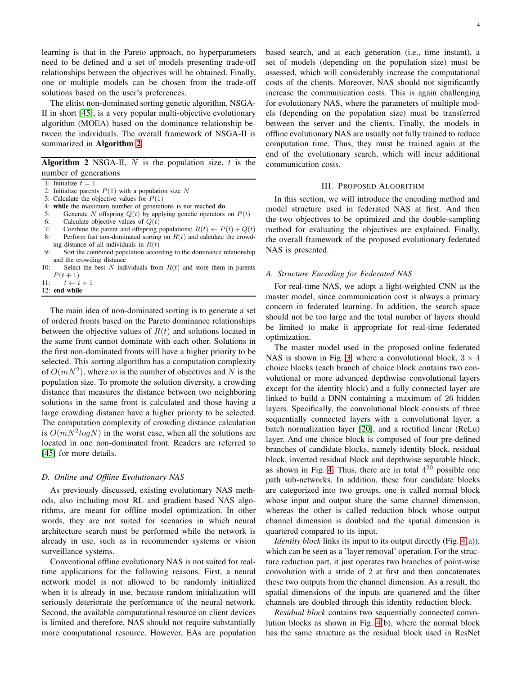learning is that in the Pareto approach, no hyperparameters need to be defined and a set of models presenting trade-off relationships between the objectives will be obtained. Finally, one or multiple models can be chosen from the trade-off solutions based on the user's preferences.

The elitist non-dominated sorting genetic algorithm, NSGA-II in short [\[45\]](#page-11-21), is a very popular multi-objective evolutionary algorithm (MOEA) based on the dominance relationship between the individuals. The overall framework of NSGA-II is summarized in Algorithm [2](#page-3-0).

<span id="page-3-0"></span>**Algorithm 2** NSGA-II,  $N$  is the population size,  $t$  is the number of generations

1: Initialize  $t = 1$ 

- 2: Initialize parents  $P(1)$  with a population size N
- 3: Calculate the objective values for  $P(1)$
- 4: while the maximum number of generations is not reached **do**<br>5. Generate N offspring  $O(t)$  by applying generic operators
- Generate N offspring  $Q(t)$  by applying genetic operators on  $P(t)$
- 6: Calculate objective values of  $Q(t)$ <br>7: Combine the parent and offspring
- 7: Combine the parent and offspring populations:  $R(t) \leftarrow P(t) + Q(t)$ <br>8: Perform fast non-dominated sorting on  $R(t)$  and calculate the crowd-
- Perform fast non-dominated sorting on  $R(t)$  and calculate the crowding distance of all individuals in  $R(t)$
- 9: Sort the combined population according to the dominance relationship and the crowding distance
- 10: Select the best  $N$  individuals from  $R(t)$  and store them in parents  $P(t + 1)$
- 11:  $t \leftarrow t + 1$
- 12: end while

The main idea of non-dominated sorting is to generate a set of ordered fronts based on the Pareto dominance relationships between the objective values of  $R(t)$  and solutions located in the same front cannot dominate with each other. Solutions in the first non-dominated fronts will have a higher priority to be selected. This sorting algorithm has a computation complexity of  $O(mN^2)$ , where m is the number of objectives and N is the population size. To promote the solution diversity, a crowding distance that measures the distance between two neighboring solutions in the same front is calculated and those having a large crowding distance have a higher priority to be selected. The computation complexity of crowding distance calculation is  $O(m\overline{N^2}logN)$  in the worst case, when all the solutions are located in one non-dominated front. Readers are referred to [\[45\]](#page-11-21) for more details.

# *D. Online and Offline Evolutionary NAS*

As previously discussed, existing evolutionary NAS methods, also including most RL and gradient based NAS algorithms, are meant for offline model optimization. In other words, they are not suited for scenarios in which neural architecture search must be performed while the network is already in use, such as in recommender systems or vision surveillance systems.

Conventional offline evolutionary NAS is not suited for realtime applications for the following reasons. First, a neural network model is not allowed to be randomly initialized when it is already in use, because random initialization will seriously deteriorate the performance of the neural network. Second, the available computational resource on client devices is limited and therefore, NAS should not require substantially more computational resource. However, EAs are population based search, and at each generation (i.e., time instant), a set of models (depending on the population size) must be assessed, which will considerably increase the computational costs of the clients. Moreover, NAS should not significantly increase the communication costs. This is again challenging for evolutionary NAS, where the parameters of multiple models (depending on the population size) must be transferred between the server and the clients. Finally, the models in offline evolutionary NAS are usually not fully trained to reduce computation time. Thus, they must be trained again at the end of the evolutionary search, which will incur additional communication costs.

## III. PROPOSED ALGORITHM

In this section, we will introduce the encoding method and model structure used in federated NAS at first. And then the two objectives to be optimized and the double-sampling method for evaluating the objectives are explained. Finally, the overall framework of the proposed evolutionary federated NAS is presented.

## *A. Structure Encoding for Federated NAS*

For real-time NAS, we adopt a light-weighted CNN as the master model, since communication cost is always a primary concern in federated learning. In addition, the search space should not be too large and the total number of layers should be limited to make it appropriate for real-time federated optimization.

The master model used in the proposed online federated NAS is shown in Fig. [3,](#page-4-0) where a convolutional block,  $3 \times 4$ choice blocks (each branch of choice block contains two convolutional or more advanced depthwise convolutional layers except for the identity block) and a fully connected layer are linked to build a DNN containing a maximum of 26 hidden layers. Specifically, the convolutional block consists of three sequentially connected layers with a convolutional layer, a batch normalization layer [\[20\]](#page-10-17), and a rectified linear (ReLu) layer. And one choice block is composed of four pre-defined branches of candidate blocks, namely identity block, residual block, inverted residual block and depthwise separable block, as shown in Fig. [4.](#page-4-1) Thus, there are in total  $4^{20}$  possible one path sub-networks. In addition, these four candidate blocks are categorized into two groups, one is called normal block whose input and output share the same channel dimension, whereas the other is called reduction block whose output channel dimension is doubled and the spatial dimension is quartered compared to its input.

*Identity block* links its input to its output directly (Fig. [4\(](#page-4-1)a)), which can be seen as a 'layer removal' operation. For the structure reduction part, it just operates two branches of point-wise convolution with a stride of 2 at first and then concatenates these two outputs from the channel dimension. As a result, the spatial dimensions of the inputs are quartered and the filter channels are doubled through this identity reduction block.

*Residual block* contains two sequentially connected convolution blocks as shown in Fig. [4\(](#page-4-1)b), where the normal block has the same structure as the residual block used in ResNet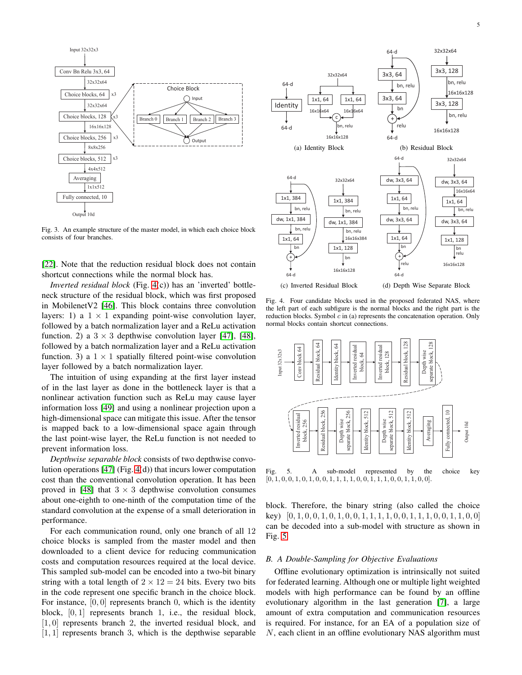

<span id="page-4-0"></span>Fig. 3. An example structure of the master model, in which each choice block consists of four branches.  $\frac{1}{\sqrt{16}}$ 

[\[22\]](#page-10-19). Note that the reduction residual block does not contain shortcut connections while the normal block has.

*Inverted residual block* (Fig. [4\(](#page-4-1)c)) has an 'inverted' bottleneck structure of the residual block, which was first proposed in MobilenetV2 [\[46\]](#page-11-22). This block contains three convolution layers: 1) a  $1 \times 1$  expanding point-wise convolution layer, followed by a batch normalization layer and a ReLu activation function. 2) a  $3 \times 3$  depthwise convolution layer [\[47\]](#page-11-23), [\[48\]](#page-11-24), followed by a batch normalization layer and a ReLu activation function. 3) a  $1 \times 1$  spatially filtered point-wise convolution layer followed by a batch normalization layer.

The intuition of using expanding at the first layer instead of in the last layer as done in the bottleneck layer is that a nonlinear activation function such as ReLu may cause layer information loss [\[49\]](#page-11-25) and using a nonlinear projection upon a high-dimensional space can mitigate this issue. After the tensor is mapped back to a low-dimensional space again through the last point-wise layer, the ReLu function is not needed to prevent information loss.

*Depthwise separable block* consists of two depthwise convolution operations [\[47\]](#page-11-23) (Fig. [4\(](#page-4-1)d)) that incurs lower computation cost than the conventional convolution operation. It has been proved in [\[48\]](#page-11-24) that  $3 \times 3$  depthwise convolution consumes about one-eighth to one-ninth of the computation time of the standard convolution at the expense of a small deterioration in performance.

For each communication round, only one branch of all 12 choice blocks is sampled from the master model and then downloaded to a client device for reducing communication costs and computation resources required at the local device. This sampled sub-model can be encoded into a two-bit binary string with a total length of  $2 \times 12 = 24$  bits. Every two bits in the code represent one specific branch in the choice block. For instance,  $[0, 0]$  represents branch 0, which is the identity block, [0, 1] represents branch 1, i.e., the residual block, [1,0] represents branch 2, the inverted residual block, and  $[1, 1]$  represents branch 3, which is the depthwise separable



<span id="page-4-1"></span>Fig. 4. Four candidate blocks used in the proposed federated NAS, where the left part of each subfigure is the normal blocks and the right part is the reduction blocks. Symbol  $c$  in (a) represents the concatenation operation. Only normal blocks contain shortcut connections.



<span id="page-4-2"></span> $[0, 1, 0, 0, 1, 0, 1, 0, 0, 1, 1, 1, 1, 0, 0, 1, 1, 1, 0, 0, 1, 1, 0, 0].$ 

block. Therefore, the binary string (also called the choice key)  $[0, 1, 0, 0, 1, 0, 1, 0, 0, 1, 1, 1, 1, 0, 0, 1, 1, 1, 0, 0, 1, 1, 0, 0]$ can be decoded into a sub-model with structure as shown in Fig. [5.](#page-4-2)

#### *B. A Double-Sampling for Objective Evaluations*

Offline evolutionary optimization is intrinsically not suited for federated learning. Although one or multiple light weighted models with high performance can be found by an offline evolutionary algorithm in the last generation [\[7\]](#page-10-5), a large amount of extra computation and communication resources is required. For instance, for an EA of a population size of N, each client in an offline evolutionary NAS algorithm must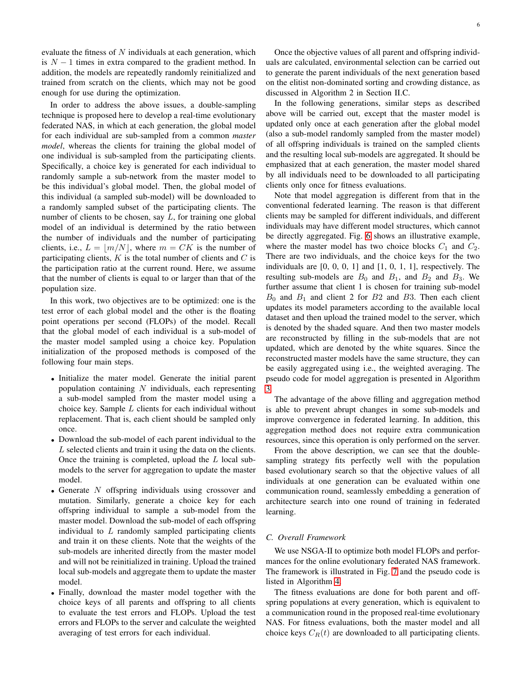evaluate the fitness of  $N$  individuals at each generation, which is  $N-1$  times in extra compared to the gradient method. In addition, the models are repeatedly randomly reinitialized and trained from scratch on the clients, which may not be good enough for use during the optimization.

In order to address the above issues, a double-sampling technique is proposed here to develop a real-time evolutionary federated NAS, in which at each generation, the global model for each individual are sub-sampled from a common *master model*, whereas the clients for training the global model of one individual is sub-sampled from the participating clients. Specifically, a choice key is generated for each individual to randomly sample a sub-network from the master model to be this individual's global model. Then, the global model of this individual (a sampled sub-model) will be downloaded to a randomly sampled subset of the participating clients. The number of clients to be chosen, say  $L$ , for training one global model of an individual is determined by the ratio between the number of individuals and the number of participating clients, i.e.,  $L = |m/N|$ , where  $m = CK$  is the number of participating clients,  $K$  is the total number of clients and  $C$  is the participation ratio at the current round. Here, we assume that the number of clients is equal to or larger than that of the population size.

In this work, two objectives are to be optimized: one is the test error of each global model and the other is the floating point operations per second (FLOPs) of the model. Recall that the global model of each individual is a sub-model of the master model sampled using a choice key. Population initialization of the proposed methods is composed of the following four main steps.

- Initialize the mater model. Generate the initial parent population containing  $N$  individuals, each representing a sub-model sampled from the master model using a choice key. Sample  $L$  clients for each individual without replacement. That is, each client should be sampled only once.
- Download the sub-model of each parent individual to the L selected clients and train it using the data on the clients. Once the training is completed, upload the  $L$  local submodels to the server for aggregation to update the master model.
- Generate  $N$  offspring individuals using crossover and mutation. Similarly, generate a choice key for each offspring individual to sample a sub-model from the master model. Download the sub-model of each offspring individual to  $L$  randomly sampled participating clients and train it on these clients. Note that the weights of the sub-models are inherited directly from the master model and will not be reinitialized in training. Upload the trained local sub-models and aggregate them to update the master model.
- Finally, download the master model together with the choice keys of all parents and offspring to all clients to evaluate the test errors and FLOPs. Upload the test errors and FLOPs to the server and calculate the weighted averaging of test errors for each individual.

Once the objective values of all parent and offspring individuals are calculated, environmental selection can be carried out to generate the parent individuals of the next generation based on the elitist non-dominated sorting and crowding distance, as discussed in Algorithm 2 in Section II.C.

In the following generations, similar steps as described above will be carried out, except that the master model is updated only once at each generation after the global model (also a sub-model randomly sampled from the master model) of all offspring individuals is trained on the sampled clients and the resulting local sub-models are aggregated. It should be emphasized that at each generation, the master model shared by all individuals need to be downloaded to all participating clients only once for fitness evaluations.

Note that model aggregation is different from that in the conventional federated learning. The reason is that different clients may be sampled for different individuals, and different individuals may have different model structures, which cannot be directly aggregated. Fig. [6](#page-6-0) shows an illustrative example, where the master model has two choice blocks  $C_1$  and  $C_2$ . There are two individuals, and the choice keys for the two individuals are [0, 0, 0, 1] and [1, 0, 1, 1], respectively. The resulting sub-models are  $B_0$  and  $B_1$ , and  $B_2$  and  $B_3$ . We further assume that client 1 is chosen for training sub-model  $B_0$  and  $B_1$  and client 2 for  $B_2$  and  $B_3$ . Then each client updates its model parameters according to the available local dataset and then upload the trained model to the server, which is denoted by the shaded square. And then two master models are reconstructed by filling in the sub-models that are not updated, which are denoted by the white squares. Since the reconstructed master models have the same structure, they can be easily aggregated using i.e., the weighted averaging. The pseudo code for model aggregation is presented in Algorithm [3.](#page-6-1)

The advantage of the above filling and aggregation method is able to prevent abrupt changes in some sub-models and improve convergence in federated learning. In addition, this aggregation method does not require extra communication resources, since this operation is only performed on the server.

From the above description, we can see that the doublesampling strategy fits perfectly well with the population based evolutionary search so that the objective values of all individuals at one generation can be evaluated within one communication round, seamlessly embedding a generation of architecture search into one round of training in federated learning.

#### *C. Overall Framework*

We use NSGA-II to optimize both model FLOPs and performances for the online evolutionary federated NAS framework. The framework is illustrated in Fig. [7](#page-7-0) and the pseudo code is listed in Algorithm [4.](#page-6-2)

The fitness evaluations are done for both parent and offspring populations at every generation, which is equivalent to a communication round in the proposed real-time evolutionary NAS. For fitness evaluations, both the master model and all choice keys  $C_R(t)$  are downloaded to all participating clients.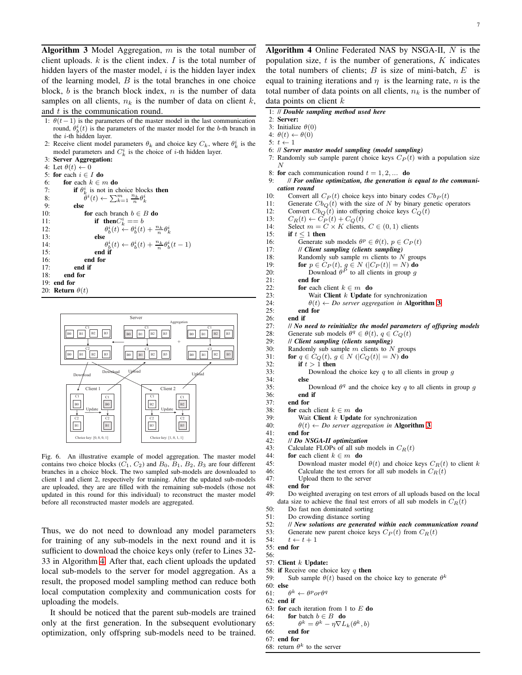<span id="page-6-1"></span>Algorithm 3 Model Aggregation,  $m$  is the total number of client uploads.  $k$  is the client index.  $I$  is the total number of hidden layers of the master model,  $i$  is the hidden layer index of the learning model,  $B$  is the total branches in one choice block, b is the branch block index,  $n$  is the number of data samples on all clients,  $n_k$  is the number of data on client k, and t is the communication round.

- 1:  $\theta(t-1)$  is the parameters of the master model in the last communication round,  $\theta_b^i(t)$  is the parameters of the master model for the b-th branch in the i-th hidden layer.
- 2: Receive client model parameters  $\theta_k$  and choice key  $C_k$ , where  $\theta_k^i$  is the model parameters and  $C_k^i$  is the choice of *i*-th hidden layer.
- 3: Server Aggregation:
- 4: Let  $\theta(t) \leftarrow 0$
- 5: for each  $i \in I$  do
- 6: for each  $k \in m$  do
- 7: **if**  $\theta_k^i$  is not in choice blocks **then** 8:<br>9.  $i(t) \leftarrow \sum_{k=1}^m \frac{n_k}{n} \theta_k^i$ 
	- else
- 10: **for** each branch  $b \in B$  **do**<br>11: **if** then  $C_i^i == b$
- 11: **if then** $C_k^i == b$ 
	- $\theta_b^i(t) \leftarrow \theta_b^i(t) + \frac{n_k}{n} \theta_k^i$
- 13: else 14:  $\theta$  $\frac{i}{b}(t) \leftarrow \theta_b^i(t) + \frac{n_k}{n} \theta_b^i(t-1)$
- 15: end if
- 16: end for
- 17: **end if**  $18$ : **end for**

12:

- end for
- 19: end for
- 20: Return  $\theta(t)$



<span id="page-6-0"></span>Fig. 6. An illustrative example of model aggregation. The master model contains two choice blocks  $(C_1, C_2)$  and  $B_0, B_1, B_2, B_3$  are four different branches in a choice block. The two sampled sub-models are downloaded to client 1 and client 2, respectively for training. After the updated sub-models are uploaded, they are are filled with the remaining sub-models (those not updated in this round for this individual) to reconstruct the master model before all reconstructed master models are aggregated.

Thus, we do not need to download any model parameters for training of any sub-models in the next round and it is sufficient to download the choice keys only (refer to Lines 32- 33 in Algorithm [4.](#page-6-2) After that, each client uploads the updated local sub-models to the server for model aggregation. As a result, the proposed model sampling method can reduce both local computation complexity and communication costs for uploading the models.

It should be noticed that the parent sub-models are trained only at the first generation. In the subsequent evolutionary optimization, only offspring sub-models need to be trained.

<span id="page-6-2"></span>Algorithm 4 Online Federated NAS by NSGA-II,  $N$  is the population size,  $t$  is the number of generations,  $K$  indicates the total numbers of clients;  $B$  is size of mini-batch,  $E$  is equal to training iterations and  $\eta$  is the learning rate,  $n$  is the total number of data points on all clients,  $n_k$  is the number of data points on client  $k$ 

- 1: // *Double sampling method used here*
- 2: Server:
- 3: Initialize  $\theta(0)$
- 4:  $\theta(t) \leftarrow \theta(0)$
- 5:  $t \leftarrow 1$
- 6: // *Server master model sampling (model sampling)*
- 7: Randomly sub sample parent choice keys  $C_P(t)$  with a population size N
- 8: for each communication round  $t = 1, 2, ...$  do
- 9: // *For online optimization, the generation is equal to the communication round*
- 10: Convert all  $C_P(t)$  choice keys into binary codes  $Cb_P(t)$
- 11: Generate  $Cb_Q(t)$  with the size of N by binary genetic operators 12: Convert  $Cb_O(t)$  into offspring choice keys  $C_O(t)$
- 12: Convert  $Cb_Q(t)$  into offspring choice keys  $C_Q(t)$ <br>13:  $C_P(t) \leftarrow C_P(t) + C_Q(t)$
- 13:  $C_R(t) \leftarrow \tilde{C}_P(t) + C_Q(t)$ <br>14: Select  $m = C \times K$  clients
- 14: Select  $m = C \times K$  clients,  $C \in (0, 1)$  clients<br>15: **if**  $t < 1$  then
	- if  $t < 1$  then
- 16: Generate sub models  $\theta^p \in \theta(t)$ ,  $p \in C_P(t)$
- 17: // *Client sampling (clients sampling)*
- 18: Randomly sub sample  $m$  clients to  $N$  groups
- 19: **for**  $p \in C_P(t)$ ,  $g \in N$  ( $|C_P(t)| = N$ ) do
- 20: Download  $\theta^P$  to all clients in group g 21: end for
- 22: for each client  $k \in m$  do
	-
- 23: Wait Client k Update for synchronization<br>  $24$ :  $\theta(t) \leftarrow Do$  server aggregation in **Algorith**
- 24:  $\theta(t) \leftarrow Do$  server aggregation in **Algorithm [3](#page-6-1)**<br>25: **end for** end for

 $26$ : end if

- 27: *// No need to reinitialize the model parameters of offspring models* 28: Generate sub models  $\theta^q \in \theta(t)$ ,  $q \in C_O(t)$
- 28: Generate sub models  $\theta^q \in \theta(t)$ ,  $q \in C_Q(t)$
- 29: // *Client sampling (clients sampling)*
- 30: Randomly sub sample m clients to N groups<br>31: **for**  $a \in Co(t)$ ,  $a \in N$  ( $|Co(t)| = N$ ) **do**
- 31: **for**  $q \in C_Q(t)$ ,  $g \in N$  ( $|C_Q(t)| = N$ ) **do**<br>32: **if**  $t > 1$  **then** 
	-
- 32: **if**  $t > 1$  **then**<br>33: Download Download the choice key  $q$  to all clients in group  $q$ 34: else
- 35: Download  $\theta^q$  and the choice key q to all clients in group g
- 36: end if end for
- 38: for each client  $k \in m$  do
- 39: Wait Client k Update for synchronization 40:  $\theta(t) \leftarrow Do$  server aggregation in Algorith
	- $\theta(t) \leftarrow Do$  server aggregation in **Algorithm [3](#page-6-1)**
- 41: end for
- 42: // *Do NSGA-II optimization*
- 43: Calculate FLOPs of all sub models in  $C_R(t)$ <br>44: **for** each client  $k \in m$  **do** 
	-
- 44: **for** each client  $k \in m$  **do**<br>45: Download master mode 45: Download master model  $\theta(t)$  and choice keys  $C_R(t)$  to client k 46: Calculate the test errors for all sub models in  $C_R(t)$ 46: Calculate the test errors for all sub models in  $C_R(t)$ <br>47: Upload them to the server
- 47: Upload them to the server<br>48: **end for** end for
- 49: Do weighted averaging on test errors of all uploads based on the local data size to achieve the final test errors of all sub models in  $C_R(t)$
- 50: Do fast non dominated sorting
- 51: Do crowding distance sorting<br>52:  $\frac{1}{2}$  New solutions are generate
- 52: // *New solutions are generated within each communication round*
- 53: Generate new parent choice keys  $C_P(t)$  from  $C_R(t)$ <br>54:  $t \leftarrow t + 1$

```
t \leftarrow t + 1
```
- 55: end for 56:
- 57: Client k Update:
- 58: if Receive one choice key  $q$  then
- 59: Sub sample  $\theta(t)$  based on the choice key to generate  $\theta^k$
- 60: else
	- 61: θ  $k \leftarrow \theta^p or \theta^q$
	- 62: end if
	- 63: for each iteration from 1 to  $E$  do
	- 64: **for** batch  $b \in B$  **do**
	- 65:  $k = \theta^k - \eta \nabla L_k(\theta^k, b)$
	- 66: end for 67: end for
	- 68: return  $\theta^k$  to the server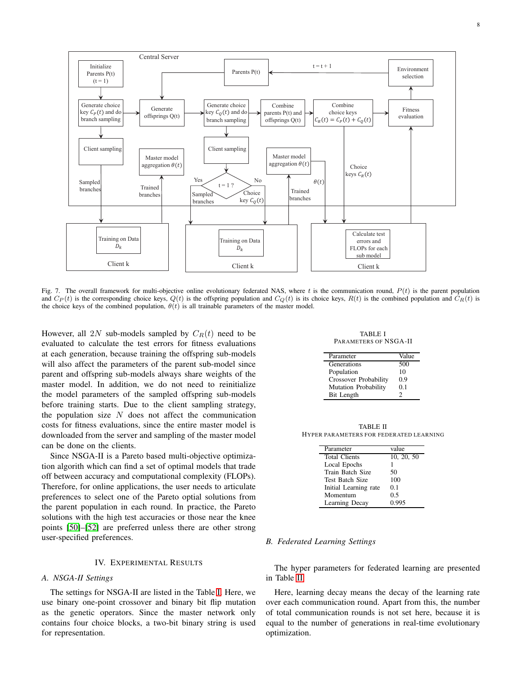

<span id="page-7-0"></span>Fig. 7. The overall framework for multi-objective online evolutionary federated NAS, where  $t$  is the communication round,  $P(t)$  is the parent population and  $C_P(t)$  is the corresponding choice keys,  $Q(t)$  is the offspring population and  $C_Q(t)$  is its choice keys,  $R(t)$  is the combined population and  $C_R(t)$  is the choice keys of the combined population,  $\theta(t)$  is all trainable parameters of the master model.

However, all 2N sub-models sampled by  $C_R(t)$  need to be evaluated to calculate the test errors for fitness evaluations at each generation, because training the offspring sub-models will also affect the parameters of the parent sub-model since parent and offspring sub-models always share weights of the master model. In addition, we do not need to reinitialize the model parameters of the sampled offspring sub-models before training starts. Due to the client sampling strategy, the population size  $N$  does not affect the communication costs for fitness evaluations, since the entire master model is downloaded from the server and sampling of the master model can be done on the clients.

Since NSGA-II is a Pareto based multi-objective optimization algorith which can find a set of optimal models that trade off between accuracy and computational complexity (FLOPs). Therefore, for online applications, the user needs to articulate preferences to select one of the Pareto optial solutions from the parent population in each round. In practice, the Pareto solutions with the high test accuracies or those near the knee points [\[50\]](#page-11-26)–[\[52\]](#page-11-27) are preferred unless there are other strong user-specified preferences.

# IV. EXPERIMENTAL RESULTS

## *A. NSGA-II Settings*

The settings for NSGA-II are listed in the Table [I.](#page-7-1) Here, we use binary one-point crossover and binary bit flip mutation as the genetic operators. Since the master network only contains four choice blocks, a two-bit binary string is used for representation.

TABLE I PARAMETERS OF NSGA-II

<span id="page-7-1"></span>

| Parameter                    | Value |
|------------------------------|-------|
| Generations                  | 500   |
| Population                   | 10    |
| <b>Crossover Probability</b> | 0.9   |
| <b>Mutation Probability</b>  | 0.1   |
| Bit Length                   | າ     |

<span id="page-7-2"></span>TABLE II HYPER PARAMETERS FOR FEDERATED LEARNING

| Parameter             | value      |
|-----------------------|------------|
| <b>Total Clients</b>  | 10, 20, 50 |
| Local Epochs          |            |
| Train Batch Size      | 50         |
| Test Batch Size       | 100        |
| Initial Learning rate | 0.1        |
| Momentum              | 0.5        |
| Learning Decay        | 0.995      |

## *B. Federated Learning Settings*

The hyper parameters for federated learning are presented in Table [II.](#page-7-2)

Here, learning decay means the decay of the learning rate over each communication round. Apart from this, the number of total communication rounds is not set here, because it is equal to the number of generations in real-time evolutionary optimization.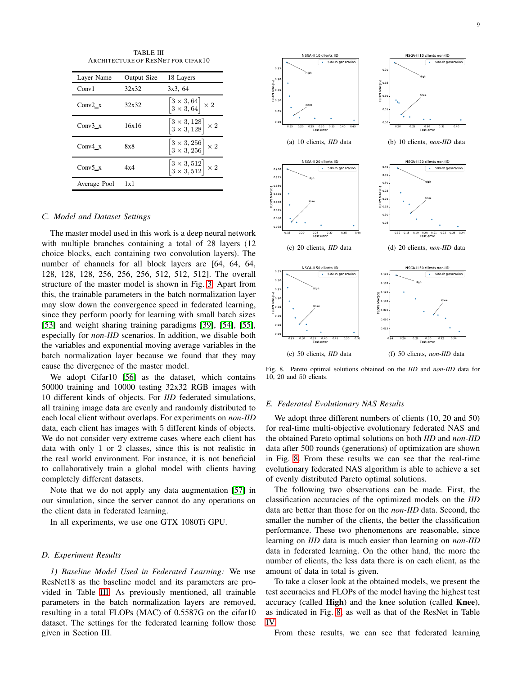TABLE III ARCHITECTURE OF RESNET FOR CIFAR10

<span id="page-8-0"></span>

| Layer Name      | Output Size | 18 Layers                                                                   |
|-----------------|-------------|-----------------------------------------------------------------------------|
| Conv1           | 32x32       | 3x3, 64                                                                     |
| Conv $2 \times$ | 32x32       | $\begin{bmatrix} 3 \times 3, 64 \\ 3 \times 3, 64 \end{bmatrix} \times 2$   |
| Conv $3 \times$ | 16x16       | $\begin{bmatrix} 3\times3, 128 \\ 3\times3, 128 \end{bmatrix} \times 2$     |
| Conv $4 \times$ | 8x8         | $\begin{bmatrix} 3 \times 3, 256 \\ 3 \times 3, 256 \end{bmatrix} \times 2$ |
| Conv5 $\bar{x}$ | 4x4         | $\begin{bmatrix} 3\times3, 512 \\ 3\times3, 512 \end{bmatrix} \times 2$     |
| Average Pool    | 1x1         |                                                                             |

## *C. Model and Dataset Settings*

The master model used in this work is a deep neural network with multiple branches containing a total of 28 layers (12 choice blocks, each containing two convolution layers). The number of channels for all block layers are [64, 64, 64, 128, 128, 128, 256, 256, 256, 512, 512, 512]. The overall structure of the master model is shown in Fig. [3.](#page-4-0) Apart from this, the trainable parameters in the batch normalization layer may slow down the convergence speed in federated learning, since they perform poorly for learning with small batch sizes [\[53\]](#page-11-28) and weight sharing training paradigms [\[39\]](#page-11-15), [\[54\]](#page-11-29), [\[55\]](#page-11-30), especially for *non-IID* scenarios. In addition, we disable both the variables and exponential moving average variables in the batch normalization layer because we found that they may cause the divergence of the master model.

We adopt Cifar10 [\[56\]](#page-11-31) as the dataset, which contains 50000 training and 10000 testing 32x32 RGB images with 10 different kinds of objects. For *IID* federated simulations, all training image data are evenly and randomly distributed to each local client without overlaps. For experiments on *non-IID* data, each client has images with 5 different kinds of objects. We do not consider very extreme cases where each client has data with only 1 or 2 classes, since this is not realistic in the real world environment. For instance, it is not beneficial to collaboratively train a global model with clients having completely different datasets.

Note that we do not apply any data augmentation [\[57\]](#page-11-32) in our simulation, since the server cannot do any operations on the client data in federated learning.

In all experiments, we use one GTX 1080Ti GPU.

## *D. Experiment Results*

*1) Baseline Model Used in Federated Learning:* We use ResNet18 as the baseline model and its parameters are provided in Table [III.](#page-8-0) As previously mentioned, all trainable parameters in the batch normalization layers are removed, resulting in a total FLOPs (MAC) of 0.5587G on the cifar10 dataset. The settings for the federated learning follow those given in Section III.



<span id="page-8-1"></span>Fig. 8. Pareto optimal solutions obtained on the *IID* and *non-IID* data for 10, 20 and 50 clients.

#### *E. Federated Evolutionary NAS Results*

We adopt three different numbers of clients (10, 20 and 50) for real-time multi-objective evolutionary federated NAS and the obtained Pareto optimal solutions on both *IID* and *non-IID* data after 500 rounds (generations) of optimization are shown in Fig. [8.](#page-8-1) From these results we can see that the real-time evolutionary federated NAS algorithm is able to achieve a set of evenly distributed Pareto optimal solutions.

The following two observations can be made. First, the classification accuracies of the optimized models on the *IID* data are better than those for on the *non-IID* data. Second, the smaller the number of the clients, the better the classification performance. These two phenomenons are reasonable, since learning on *IID* data is much easier than learning on *non-IID* data in federated learning. On the other hand, the more the number of clients, the less data there is on each client, as the amount of data in total is given.

To take a closer look at the obtained models, we present the test accuracies and FLOPs of the model having the highest test accuracy (called High) and the knee solution (called Knee), as indicated in Fig. [8,](#page-8-1) as well as that of the ResNet in Table [IV.](#page-9-0)

From these results, we can see that federated learning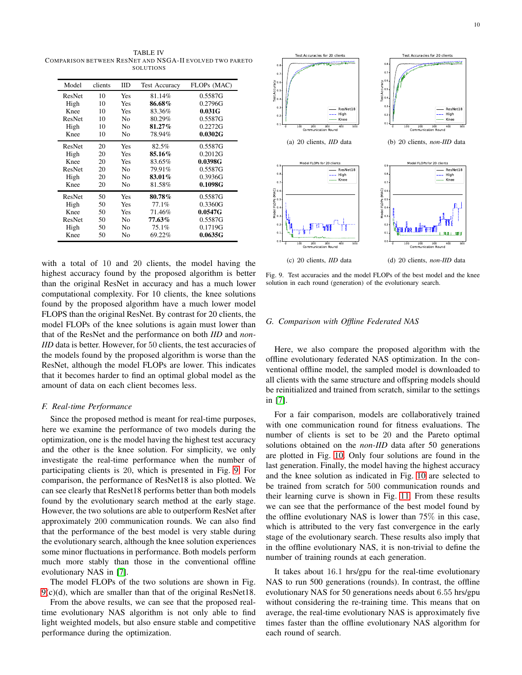<span id="page-9-0"></span>TABLE IV COMPARISON BETWEEN RESNET AND NSGA-II EVOLVED TWO PARETO **SOLUTIONS** 

| Model         | clients | IID            | <b>Test Accuracy</b> | FLOPs (MAC) |
|---------------|---------|----------------|----------------------|-------------|
| ResNet        | 10      | Yes            | 81.14%               | 0.5587G     |
| High          | 10      | Yes            | 86.68%               | 0.2796G     |
| Knee          | 10      | Yes            | 83.36%               | 0.031G      |
| <b>ResNet</b> | 10      | No             | 80.29%               | 0.5587G     |
| High          | 10      | No             | 81.27%               | 0.2272G     |
| Knee          | 10      | No             | 78.94%               | 0.0302G     |
| <b>ResNet</b> | 20      | Yes            | 82.5%                | 0.5587G     |
| High          | 20      | Yes            | 85.16%               | 0.2012G     |
| Knee          | 20      | Yes            | 83.65%               | 0.0398G     |
| <b>ResNet</b> | 20      | N <sub>0</sub> | 79.91%               | 0.5587G     |
| High          | 20      | No             | 83.01%               | 0.3936G     |
| Knee          | 20      | N <sub>0</sub> | 81.58%               | 0.1098G     |
| <b>ResNet</b> | 50      | Yes            | 80.78%               | 0.5587G     |
| High          | 50      | Yes            | 77.1%                | 0.3360G     |
| Knee          | 50      | Yes            | 71.46%               | 0.0547G     |
| ResNet        | 50      | No             | 77.63%               | 0.5587G     |
| High          | 50      | No             | 75.1%                | 0.1719G     |
| Knee          | 50      | No             | 69.22%               | 0.0635G     |

with a total of 10 and 20 clients, the model having the highest accuracy found by the proposed algorithm is better than the original ResNet in accuracy and has a much lower computational complexity. For 10 clients, the knee solutions found by the proposed algorithm have a much lower model FLOPS than the original ResNet. By contrast for 20 clients, the model FLOPs of the knee solutions is again must lower than that of the ResNet and the performance on both *IID* and *non-IID* data is better. However, for 50 clients, the test accuracies of the models found by the proposed algorithm is worse than the ResNet, although the model FLOPs are lower. This indicates that it becomes harder to find an optimal global model as the amount of data on each client becomes less.

#### *F. Real-time Performance*

Since the proposed method is meant for real-time purposes, here we examine the performance of two models during the optimization, one is the model having the highest test accuracy and the other is the knee solution. For simplicity, we only investigate the real-time performance when the number of participating clients is 20, which is presented in Fig. [9.](#page-9-1) For comparison, the performance of ResNet18 is also plotted. We can see clearly that ResNet18 performs better than both models found by the evolutionary search method at the early stage. However, the two solutions are able to outperform ResNet after approximately 200 communication rounds. We can also find that the performance of the best model is very stable during the evolutionary search, although the knee solution experiences some minor fluctuations in performance. Both models perform much more stably than those in the conventional offline evolutionary NAS in [\[7\]](#page-10-5).

The model FLOPs of the two solutions are shown in Fig. [9\(](#page-9-1)c)(d), which are smaller than that of the original ResNet18.

From the above results, we can see that the proposed realtime evolutionary NAS algorithm is not only able to find light weighted models, but also ensure stable and competitive performance during the optimization.



<span id="page-9-1"></span>Fig. 9. Test accuracies and the model FLOPs of the best model and the knee solution in each round (generation) of the evolutionary search.

## *G. Comparison with Offline Federated NAS*

Here, we also compare the proposed algorithm with the offline evolutionary federated NAS optimization. In the conventional offline model, the sampled model is downloaded to all clients with the same structure and offspring models should be reinitialized and trained from scratch, similar to the settings in [\[7\]](#page-10-5).

For a fair comparison, models are collaboratively trained with one communication round for fitness evaluations. The number of clients is set to be 20 and the Pareto optimal solutions obtained on the *non-IID* data after 50 generations are plotted in Fig. [10.](#page-10-20) Only four solutions are found in the last generation. Finally, the model having the highest accuracy and the knee solution as indicated in Fig. [10](#page-10-20) are selected to be trained from scratch for 500 communication rounds and their learning curve is shown in Fig. [11.](#page-10-21) From these results we can see that the performance of the best model found by the offline evolutionary NAS is lower than 75% in this case, which is attributed to the very fast convergence in the early stage of the evolutionary search. These results also imply that in the offline evolutionary NAS, it is non-trivial to define the number of training rounds at each generation.

It takes about 16.1 hrs/gpu for the real-time evolutionary NAS to run 500 generations (rounds). In contrast, the offline evolutionary NAS for 50 generations needs about 6.55 hrs/gpu without considering the re-training time. This means that on average, the real-time evolutionary NAS is approximately five times faster than the offline evolutionary NAS algorithm for each round of search.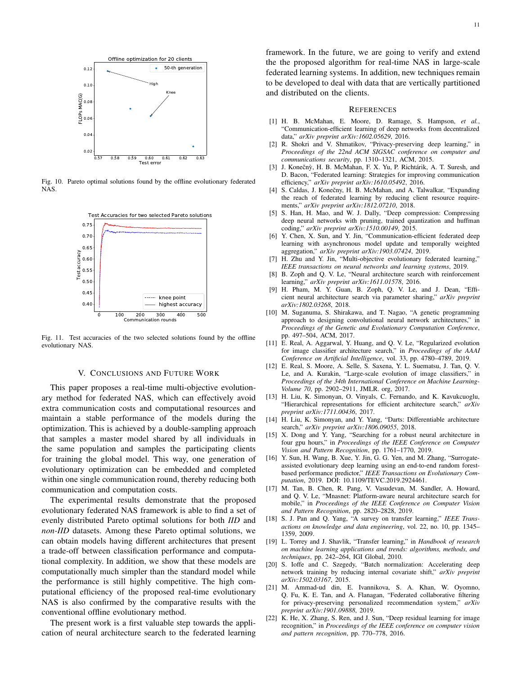

Fig. 10. Pareto optimal solutions found by the offline evolutionary federated NAS.

<span id="page-10-20"></span>

<span id="page-10-21"></span>Fig. 11. Test accuracies of the two selected solutions found by the offline evolutionary NAS.

#### V. CONCLUSIONS AND FUTURE WORK

This paper proposes a real-time multi-objective evolutionary method for federated NAS, which can effectively avoid extra communication costs and computational resources and maintain a stable performance of the models during the optimization. This is achieved by a double-sampling approach that samples a master model shared by all individuals in the same population and samples the participating clients for training the global model. This way, one generation of evolutionary optimization can be embedded and completed within one single communication round, thereby reducing both communication and computation costs.

The experimental results demonstrate that the proposed evolutionary federated NAS framework is able to find a set of evenly distributed Pareto optimal solutions for both *IID* and *non-IID* datasets. Among these Pareto optimal solutions, we can obtain models having different architectures that present a trade-off between classification performance and computational complexity. In addition, we show that these models are computationally much simpler than the standard model while the performance is still highly competitive. The high computational efficiency of the proposed real-time evolutionary NAS is also confirmed by the comparative results with the conventional offline evolutionary method.

The present work is a first valuable step towards the application of neural architecture search to the federated learning framework. In the future, we are going to verify and extend the the proposed algorithm for real-time NAS in large-scale federated learning systems. In addition, new techniques remain to be developed to deal with data that are vertically partitioned and distributed on the clients.

#### **REFERENCES**

- <span id="page-10-0"></span>[1] H. B. McMahan, E. Moore, D. Ramage, S. Hampson, *et al.*, "Communication-efficient learning of deep networks from decentralized data," *arXiv preprint arXiv:1602.05629*, 2016.
- <span id="page-10-1"></span>[2] R. Shokri and V. Shmatikov, "Privacy-preserving deep learning," in *Proceedings of the 22nd ACM SIGSAC conference on computer and communications security*, pp. 1310–1321, ACM, 2015.
- [3] J. Konečný, H. B. McMahan, F. X. Yu, P. Richtárik, A. T. Suresh, and D. Bacon, "Federated learning: Strategies for improving communication efficiency," *arXiv preprint arXiv:1610.05492*, 2016.
- <span id="page-10-2"></span>[4] S. Caldas, J. Konečny, H. B. McMahan, and A. Talwalkar, "Expanding the reach of federated learning by reducing client resource requirements," *arXiv preprint arXiv:1812.07210*, 2018.
- <span id="page-10-3"></span>[5] S. Han, H. Mao, and W. J. Dally, "Deep compression: Compressing deep neural networks with pruning, trained quantization and huffman coding," *arXiv preprint arXiv:1510.00149*, 2015.
- <span id="page-10-4"></span>[6] Y. Chen, X. Sun, and Y. Jin, "Communication-efficient federated deep learning with asynchronous model update and temporally weighted aggregation," *arXiv preprint arXiv:1903.07424*, 2019.
- <span id="page-10-5"></span>[7] H. Zhu and Y. Jin, "Multi-objective evolutionary federated learning," *IEEE transactions on neural networks and learning systems*, 2019.
- <span id="page-10-6"></span>[8] B. Zoph and Q. V. Le, "Neural architecture search with reinforcement learning," *arXiv preprint arXiv:1611.01578*, 2016.
- <span id="page-10-7"></span>[9] H. Pham, M. Y. Guan, B. Zoph, Q. V. Le, and J. Dean, "Efficient neural architecture search via parameter sharing," *arXiv preprint arXiv:1802.03268*, 2018.
- <span id="page-10-8"></span>[10] M. Suganuma, S. Shirakawa, and T. Nagao, "A genetic programming approach to designing convolutional neural network architectures," in *Proceedings of the Genetic and Evolutionary Computation Conference*, pp. 497–504, ACM, 2017.
- <span id="page-10-13"></span>[11] E. Real, A. Aggarwal, Y. Huang, and Q. V. Le, "Regularized evolution for image classifier architecture search," in *Proceedings of the AAAI Conference on Artificial Intelligence*, vol. 33, pp. 4780–4789, 2019.
- [12] E. Real, S. Moore, A. Selle, S. Saxena, Y. L. Suematsu, J. Tan, Q. V. Le, and A. Kurakin, "Large-scale evolution of image classifiers," in *Proceedings of the 34th International Conference on Machine Learning-Volume 70*, pp. 2902–2911, JMLR. org, 2017.
- <span id="page-10-9"></span>[13] H. Liu, K. Simonyan, O. Vinyals, C. Fernando, and K. Kavukcuoglu, "Hierarchical representations for efficient architecture search," *arXiv preprint arXiv:1711.00436*, 2017.
- <span id="page-10-10"></span>[14] H. Liu, K. Simonyan, and Y. Yang, "Darts: Differentiable architecture search," *arXiv preprint arXiv:1806.09055*, 2018.
- <span id="page-10-11"></span>[15] X. Dong and Y. Yang, "Searching for a robust neural architecture in four gpu hours," in *Proceedings of the IEEE Conference on Computer Vision and Pattern Recognition*, pp. 1761–1770, 2019.
- <span id="page-10-12"></span>[16] Y. Sun, H. Wang, B. Xue, Y. Jin, G. G. Yen, and M. Zhang, "Surrogateassisted evolutionary deep learning using an end-to-end random forestbased performance predictor," *IEEE Transactions on Evolutionary Computation*, 2019. DOI: 10.1109/TEVC.2019.2924461.
- <span id="page-10-14"></span>[17] M. Tan, B. Chen, R. Pang, V. Vasudevan, M. Sandler, A. Howard, and Q. V. Le, "Mnasnet: Platform-aware neural architecture search for mobile," in *Proceedings of the IEEE Conference on Computer Vision and Pattern Recognition*, pp. 2820–2828, 2019.
- <span id="page-10-15"></span>[18] S. J. Pan and Q. Yang, "A survey on transfer learning," *IEEE Transactions on knowledge and data engineering*, vol. 22, no. 10, pp. 1345– 1359, 2009.
- <span id="page-10-16"></span>[19] L. Torrey and J. Shavlik, "Transfer learning," in *Handbook of research on machine learning applications and trends: algorithms, methods, and techniques*, pp. 242–264, IGI Global, 2010.
- <span id="page-10-17"></span>[20] S. Ioffe and C. Szegedy, "Batch normalization: Accelerating deep network training by reducing internal covariate shift," *arXiv preprint arXiv:1502.03167*, 2015.
- <span id="page-10-18"></span>[21] M. Ammad-ud din, E. Ivannikova, S. A. Khan, W. Oyomno, Q. Fu, K. E. Tan, and A. Flanagan, "Federated collaborative filtering for privacy-preserving personalized recommendation system," *arXiv preprint arXiv:1901.09888*, 2019.
- <span id="page-10-19"></span>[22] K. He, X. Zhang, S. Ren, and J. Sun, "Deep residual learning for image recognition," in *Proceedings of the IEEE conference on computer vision and pattern recognition*, pp. 770–778, 2016.